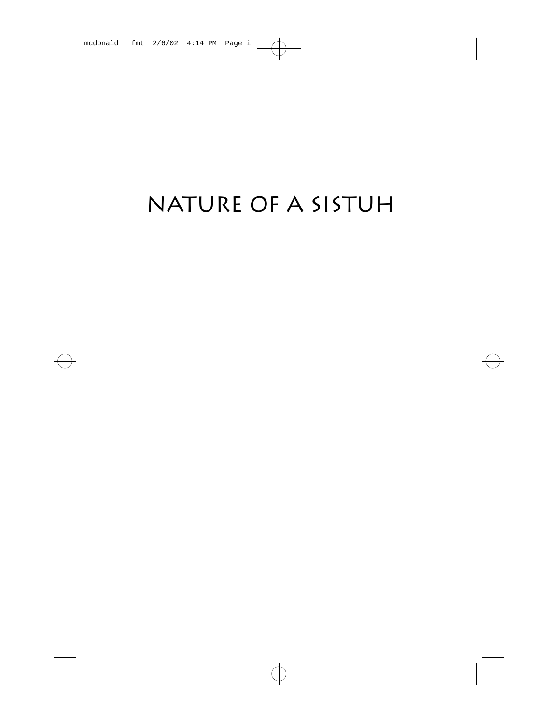# NATURE OF A SISTUH

Œ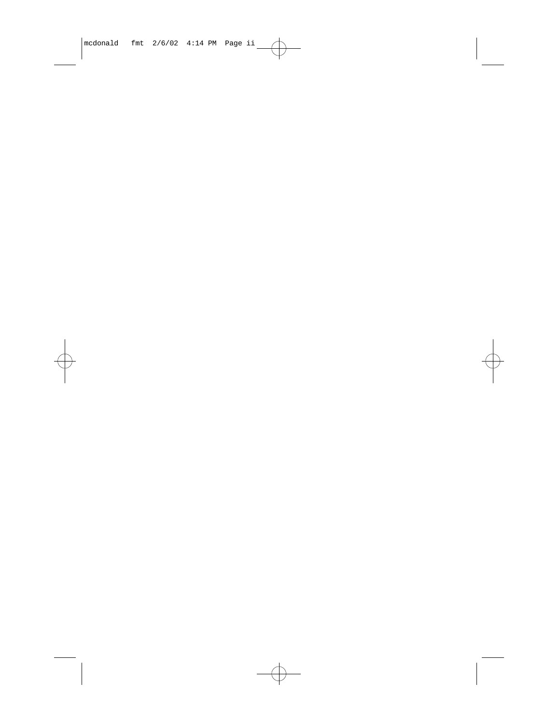$\sqrt{\text{modonald}}$  fmt 2/6/02 4:14 PM Page ii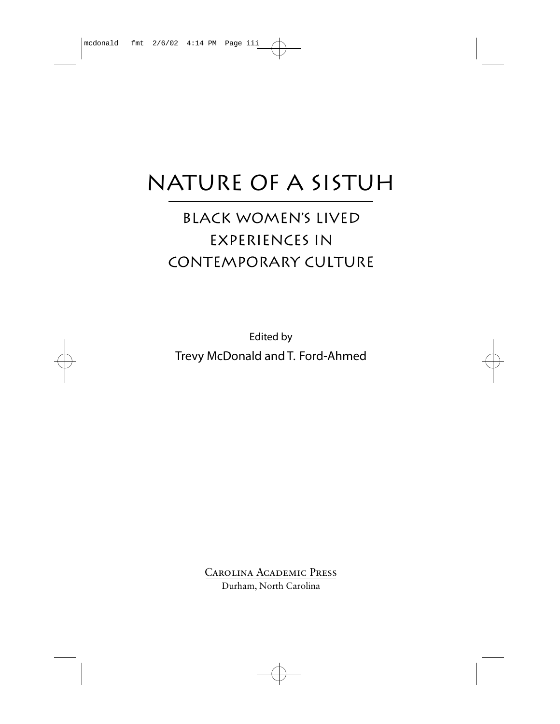# NATURE OF A SISTUH

# Black women's Lived experiences in contemporary culture

Edited by Trevy McDonald and T. Ford-Ahmed

> Carolina Academic Press Durham, North Carolina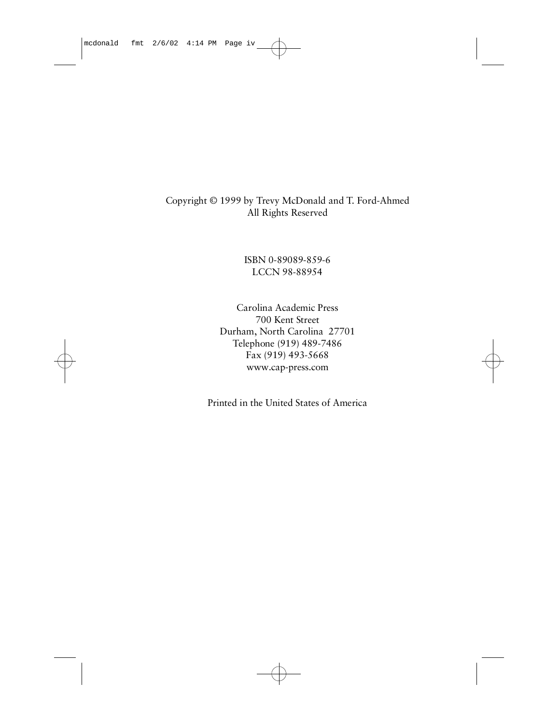mcdonald fmt 2/6/02 4:14 PM Page iv

### Copyright © 1999 by Trevy McDonald and T. Ford-Ahmed All Rights Reserved

ISBN 0-89089-859-6 LCCN 98-88954

Carolina Academic Press 700 Kent Street Durham, North Carolina 27701 Telephone (919) 489-7486 Fax (919) 493-5668 www.cap-press.com

Printed in the United States of America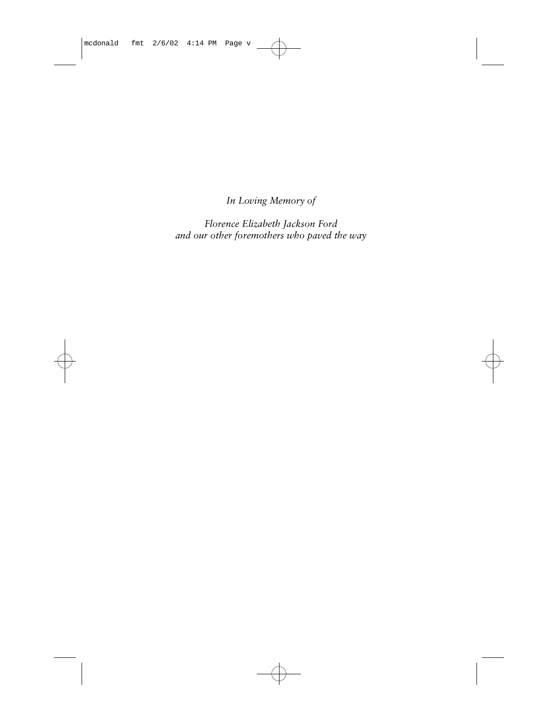*In Loving Memory of*

*F l o rence Elizabeth Jackson Ford and our other foremothers who paved the way*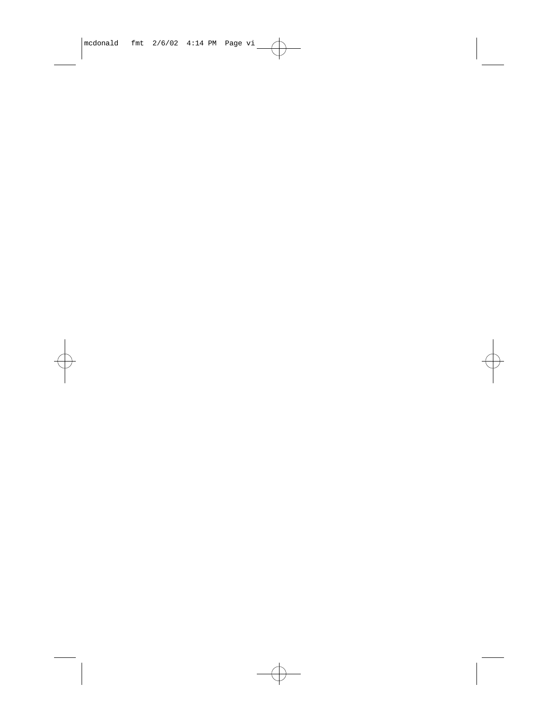$\begin{picture}(180,19) \put(0,0){\line(1,0){10}} \put(15,0){\line(1,0){10}} \put(15,0){\line(1,0){10}} \put(15,0){\line(1,0){10}} \put(15,0){\line(1,0){10}} \put(15,0){\line(1,0){10}} \put(15,0){\line(1,0){10}} \put(15,0){\line(1,0){10}} \put(15,0){\line(1,0){10}} \put(15,0){\line(1,0){10}} \put(15,0){\line(1,0){10}} \put(15,0){\line($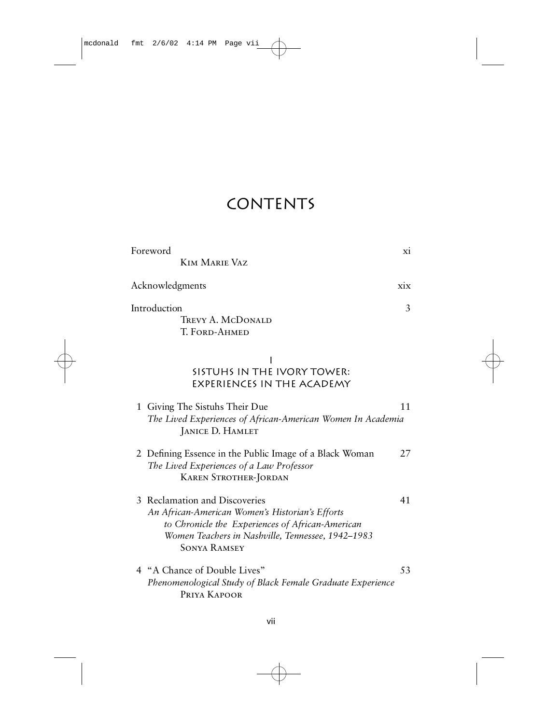# **CONTENTS**

| Foreword |                      |  |
|----------|----------------------|--|
|          | <b>KIM MARIE VAZ</b> |  |

A cknowledgments xix

Introduction 3 Trevy A. McDonald T. FORD-AHMED

I

# Sistuhs in the Ivory Tower: Experiences in the Academy

| 1 Giving The Sistuhs Their Due<br>The Lived Experiences of African-American Women In Academia<br><b>JANICE D. HAMLET</b>            | 11 |
|-------------------------------------------------------------------------------------------------------------------------------------|----|
| 2 Defining Essence in the Public Image of a Black Woman<br>The Lived Experiences of a Law Professor<br><b>KAREN STROTHER-JORDAN</b> | 27 |
| 3 Reclamation and Discoveries<br>An African-American Women's Historian's Efforts                                                    | 41 |

- *to Chronicle the Experiences of African-American Women Teachers in Nashville, Tennessee, 1942–1983* Sonya Ramsey
- 4 "A Chance of Double Lives" 53 *Phenomenological Study of Black Female Graduate Experience*  Priya Kapoor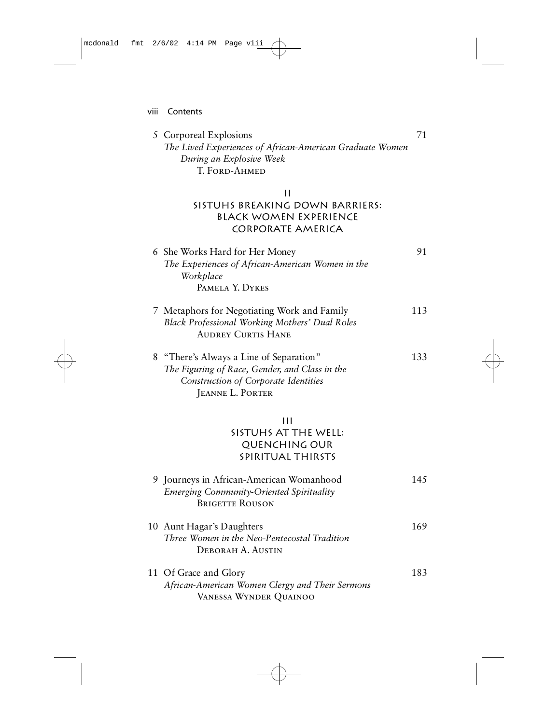viii Contents

| 5 Corporeal Explosions                                   | 71 |
|----------------------------------------------------------|----|
| The Lived Experiences of African-American Graduate Women |    |
| During an Explosive Week                                 |    |
| T. FORD-AHMED                                            |    |

### II

# Sistuhs breaking down barriers: black women experience corporate america

- 6 She Works Hard for Her Money 91 *The Experiences of African-American Women in the Workplace*  Pamela Y. Dykes
- 7 Metaphors for Negotiating Work and Family 113 *Black Professional Working Mothers' Dual Roles* **AUDREY CURTIS HANE**
- 8 "There's Always a Line of Separation" 133 *The Figuring of Race, Gender, and Class in the*  **Construction of Corporate Identities** Jeanne L. Porter

### III Sistuhs at the well: quenching our spiritual thirsts

9 Journeys in African-American Womanhood 145 *E m e rging Community-Oriented Spirituality*  **BRIGETTE ROUSON** 10 Aunt Hagar's Daughters 169 *Three Women in the Neo-Pentecostal Tradition* Deborah A. Austin 11 Of Grace and Glory 183 African-American Women Clergy and Their Sermons Vanessa Wynder Quainoo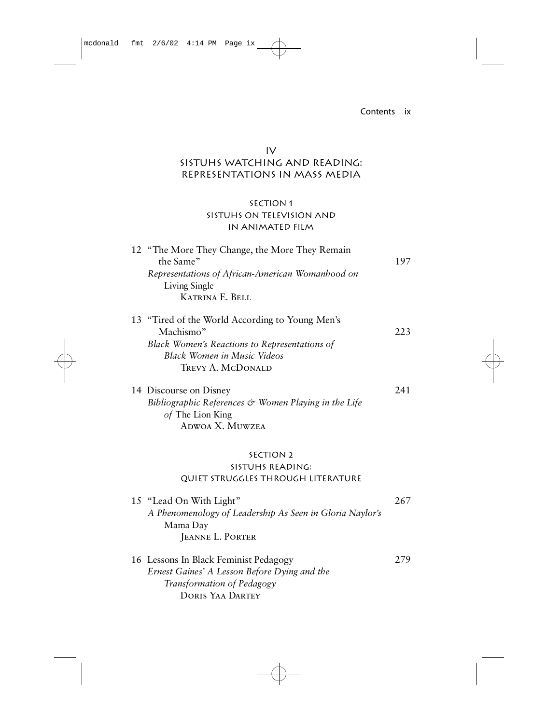mcdonald fmt 2/6/02 4:14 PM Page ix

Contents ix

## iV Sistuhs watching and reading: representations in mass media

# Section 1 sistuhs on television and in animated film

| 12 "The More They Change, the More They Remain   |     |
|--------------------------------------------------|-----|
| the Same"                                        | 197 |
| Representations of African-American Womanhood on |     |
| Living Single                                    |     |
| KATRINA E. BELL                                  |     |
|                                                  |     |

- 13 "Tired of the World According to Young Men's Machismo" 223 *Black Women's Reactions to Representations of* **Black Women in Music Videos** Trevy A. McDonald
- 14 Discourse on Disney 241 *Bibliographic References & Women Playing in the Life of* The Lion King Adwoa X. Muwzea

### Section 2 sistuhs reading: quiet struggles through literature

| 15 "Lead On With Light"                                  | 267 |
|----------------------------------------------------------|-----|
| A Phenomenology of Leadership As Seen in Gloria Naylor's |     |
| Mama Day                                                 |     |
| JEANNE L. PORTER                                         |     |
| 16 Lessons In Black Feminist Pedagogy                    | 279 |
| Ernest Gaines' A Lesson Before Dying and the             |     |
| Transformation of Pedagogy                               |     |

DORIS YAA DARTEY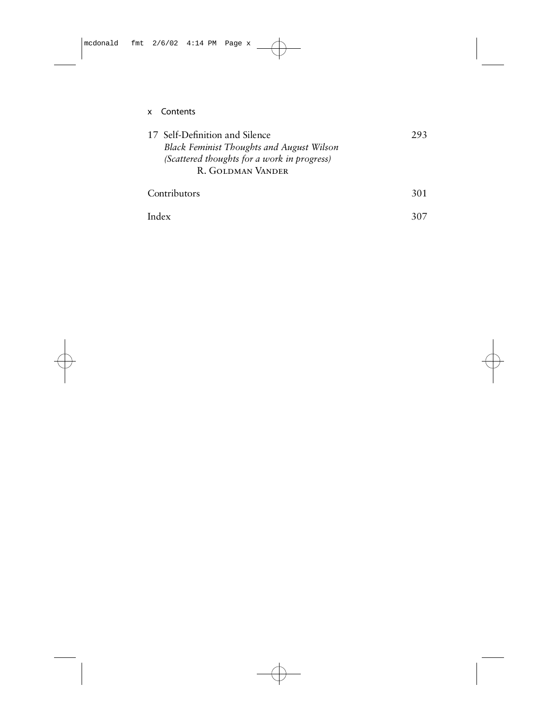x Contents

| 17 Self-Definition and Silence                   | 293 |
|--------------------------------------------------|-----|
| <b>Black Feminist Thoughts and August Wilson</b> |     |
| (Scattered thoughts for a work in progress)      |     |
| R. GOLDMAN VANDER                                |     |
| <b>Contributors</b>                              | 301 |

 $\text{Index}$   $307$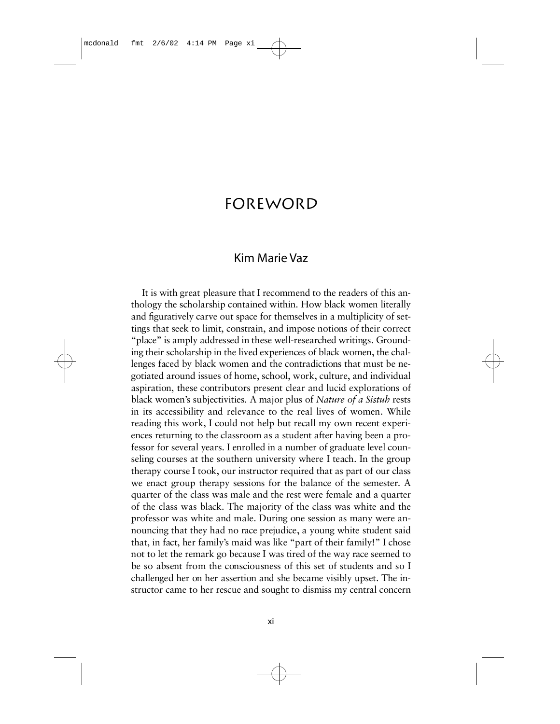# FOREWORD

# Kim Marie Vaz

It is with great pleasure that I recommend to the readers of this anthology the scholarship contained within. How black women literally and figuratively carve out space for themselves in a multiplicity of settings that seek to limit, constrain, and impose notions of their correct " place" is amply addressed in these well-researched writings. Grounding their scholarship in the lived experiences of black women, the challenges faced by black women and the contradictions that must be negotiated around issues of home, school, work, culture, and individual aspiration, these contributors present clear and lucid explorations of black women's subjectivities. A major plus of *Nature of a Sistuh* rests in its accessibility and relevance to the real lives of women. While reading this work, I could not help but recall my own recent experiences returning to the classroom as a student after having been a professor for several years. I enrolled in a number of graduate level counseling courses at the southern university where I teach. In the group therapy course I took, our instructor required that as part of our class we enact group therapy sessions for the balance of the semester. A quarter of the class was male and the rest were female and a quarter of the class was black. The majority of the class was white and the p rofessor was white and male. During one session as many were announcing that they had no race prejudice, a young white student said that, in fact, her family's maid was like "part of their family!" I chose not to let the remark go because I was tired of the way race seemed to be so absent from the consciousness of this set of students and so I challenged her on her assertion and she became visibly upset. The instructor came to her rescue and sought to dismiss my central concern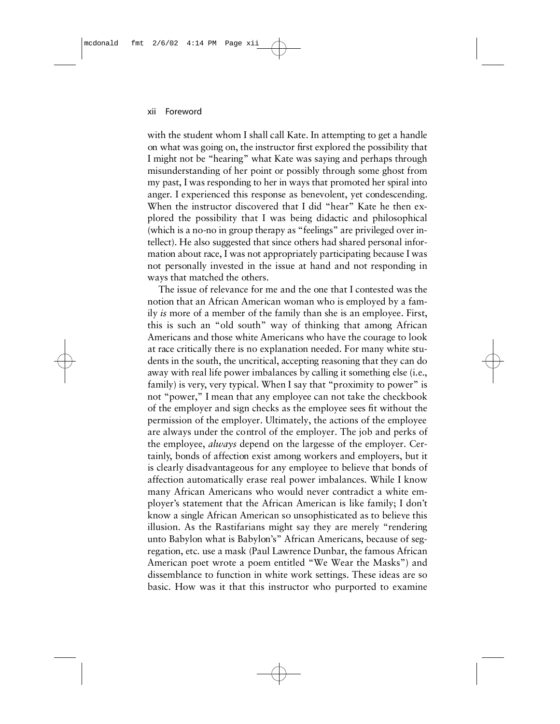### xii Foreword

with the student whom I shall call Kate. In attempting to get a handle on what was going on, the instructor first explored the possibility that I might not be "hearing" what Kate was saying and perhaps through misunderstanding of her point or possibly through some ghost from my past, I was responding to her in ways that promoted her spiral into anger. I experienced this response as benevolent, yet condescending. When the instructor discovered that I did "hear" Kate he then explored the possibility that I was being didactic and philosophical (which is a no-no in group therapy as "feelings" are privileged over intellect). He also suggested that since others had shared personal information about race, I was not appropriately participating because I was not personally invested in the issue at hand and not responding in ways that matched the others.

The issue of relevance for me and the one that I contested was the notion that an African American woman who is employed by a family *is* more of a member of the family than she is an employee. First, this is such an "old south" way of thinking that among African Americans and those white Americans who have the courage to look at race critically there is no explanation needed. For many white students in the south, the uncritical, accepting reasoning that they can do away with real life power imbalances by calling it something else (i.e., family) is very, very typical. When I say that "proximity to power" is not "power," I mean that any employee can not take the checkbook of the employer and sign checks as the employee sees fit without the permission of the employer. Ultimately, the actions of the employee are always under the control of the employer. The job and perks of the employee, *always* depend on the largesse of the employer. Certainly, bonds of affection exist among workers and employers, but it is clearly disadvantageous for any employee to believe that bonds of affection automatically erase real power imbalances. While I know many African Americans who would never contradict a white employer's statement that the African American is like family; I don't know a single African American so unsophisticated as to believe this illusion. As the Rastifarians might say they are merely "rendering unto Babylon what is Babylon's" African Americans, because of segregation, etc. use a mask (Paul Lawrence Dunbar, the famous African American poet wrote a poem entitled "We Wear the Masks") and dissemblance to function in white work settings. These ideas are so basic. How was it that this instructor who purported to examine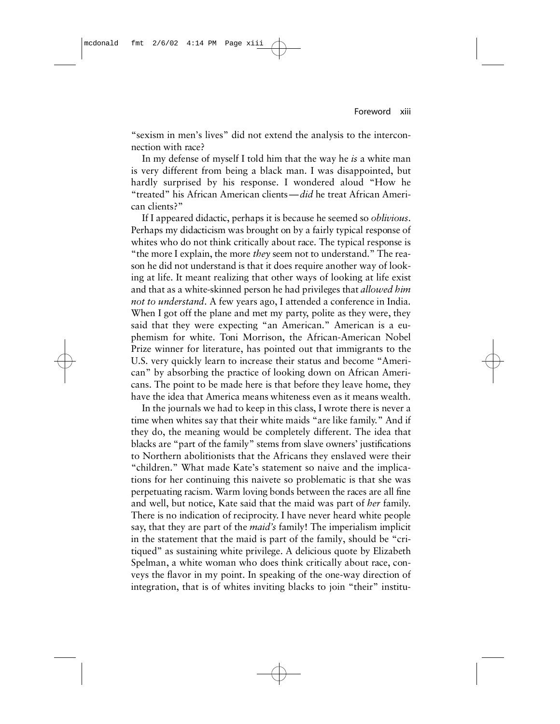#### Foreword xiii

"sexism in men's lives" did not extend the analysis to the interconnection with race?

In my defense of myself I told him that the way he *is* a white man is very different from being a black man. I was disappointed, but hardly surprised by his response. I wondered aloud "How he "treated" his African American clients — *did* he treat African American clients?"

If I appeared didactic, perhaps it is because he seemed so *oblivious*. Perhaps my didacticism was brought on by a fairly typical response of whites who do not think critically about race. The typical response is "the more I explain, the more *they* seem not to understand." The reason he did not understand is that it does require another way of looking at life. It meant realizing that other ways of looking at life exist and that as a white-skinned person he had privileges that *allowed him not to understand*. A few years ago, I attended a conference in India. When I got off the plane and met my party, polite as they were, they said that they were expecting "an American." American is a euphemism for white. Toni Morrison, the African-American Nobel Prize winner for literature, has pointed out that immigrants to the U.S. very quickly learn to increase their status and become "American" by absorbing the practice of looking down on African Americans. The point to be made here is that before they leave home, they have the idea that America means whiteness even as it means wealth.

In the journals we had to keep in this class, I wrote there is never a time when whites say that their white maids "are like family." And if they do, the meaning would be completely different. The idea that blacks are "part of the family" stems from slave owners' justifications to Northern abolitionists that the Africans they enslaved were their "children." What made Kate's statement so naive and the implications for her continuing this naivete so problematic is that she was perpetuating racism. Warm loving bonds between the races are all fine and well, but notice, Kate said that the maid was part of *her* family. There is no indication of reciprocity. I have never heard white people say, that they are part of the *maid's* family! The imperialism implicit in the statement that the maid is part of the family, should be "critiqued" as sustaining white privilege. A delicious quote by Elizabeth Spelman, a white woman who does think critically about race, conveys the flavor in my point. In speaking of the one-way direction of integration, that is of whites inviting blacks to join "their" institu-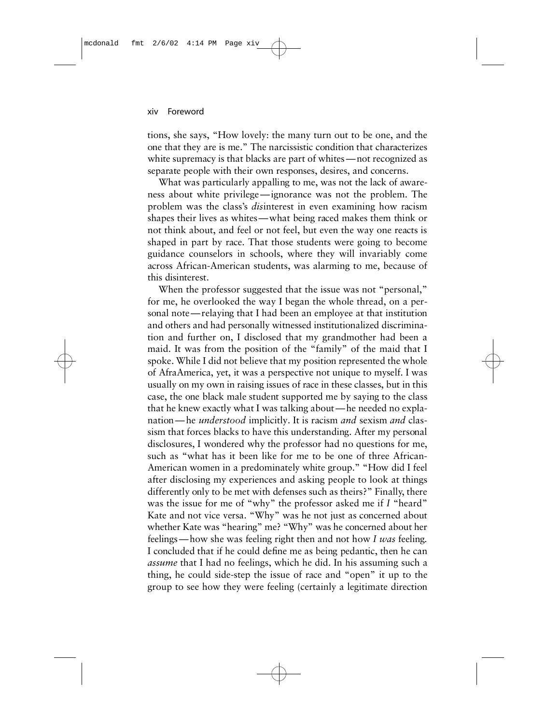### xiv Foreword

tions, she says, "How lovely: the many turn out to be one, and the one that they are is me." The narcissistic condition that characterizes white supremacy is that blacks are part of whites —not recognized as separate people with their own responses, desires, and concerns.

What was particularly appalling to me, was not the lack of awareness about white privilege—ignorance was not the problem. The problem was the class's *dis*interest in even examining how racism shapes their lives as whites—what being raced makes them think or not think about, and feel or not feel, but even the way one reacts is shaped in part by race. That those students were going to become guidance counselors in schools, where they will invariably come across African-American students, was alarming to me, because of this disinterest.

When the professor suggested that the issue was not "personal," for me, he overlooked the way I began the whole thread, on a personal note—relaying that I had been an employee at that institution and others and had personally witnessed institutionalized discrimination and further on, I disclosed that my grandmother had been a maid. It was from the position of the "family" of the maid that I spoke. While I did not believe that my position represented the whole of AfraAmerica, yet, it was a perspective not unique to myself. I was usually on my own in raising issues of race in these classes, but in this case, the one black male student supported me by saying to the class that he knew exactly what I was talking about —he needed no explanation —he *understood* implicitly. It is racism *and* sexism *and* classism that forces blacks to have this understanding. After my personal disclosures, I wondered why the professor had no questions for me, such as "what has it been like for me to be one of three African-American women in a predominately white group." "How did I feel after disclosing my experiences and asking people to look at things differently only to be met with defenses such as theirs?" Finally, there was the issue for me of "why" the professor asked me if *I* "heard" Kate and not vice versa. "Why" was he not just as concerned about whether Kate was "hearing" me? "Why" was he concerned about her feelings—how she was feeling right then and not how *I was* feeling. I concluded that if he could define me as being pedantic, then he can *assume* that I had no feelings, which he did. In his assuming such a thing, he could side-step the issue of race and "open" it up to the group to see how they were feeling (certainly a legitimate direction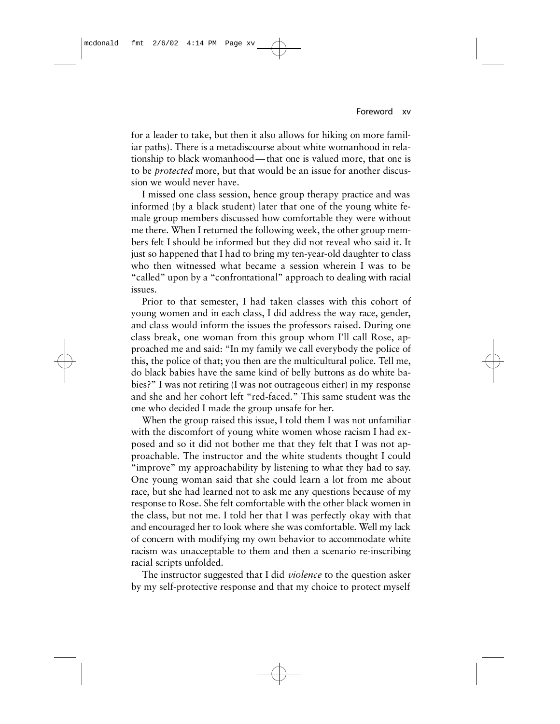#### Foreword xv

for a leader to take, but then it also allows for hiking on more familiar paths). There is a metadiscourse about white womanhood in relationship to black womanhood— that one is valued more, that one is to be *protected* more, but that would be an issue for another discussion we would never have.

I missed one class session, hence group therapy practice and was informed (by a black student) later that one of the young white female group members discussed how comfortable they were without me there. When I returned the following week, the other group members felt I should be informed but they did not reveal who said it. It just so happened that I had to bring my ten-year-old daughter to class who then witnessed what became a session wherein I was to be "called" upon by a "confrontational" approach to dealing with racial issues.

Prior to that semester, I had taken classes with this cohort of young women and in each class, I did address the way race, gender, and class would inform the issues the professors raised. During one class break, one woman from this group whom I'll call Rose, approached me and said: "In my family we call everybody the police of this, the police of that; you then are the multicultural police. Tell me, do black babies have the same kind of belly buttons as do white babies?" I was not retiring (I was not outrageous either) in my response and she and her cohort left "red-faced." This same student was the one who decided I made the group unsafe for her.

When the group raised this issue, I told them I was not unfamiliar with the discomfort of young white women whose racism I had exposed and so it did not bother me that they felt that I was not approachable. The instructor and the white students thought I could " improve" my approachability by listening to what they had to say. One young woman said that she could learn a lot from me about race, but she had learned not to ask me any questions because of my response to Rose. She felt comfortable with the other black women in the class, but not me. I told her that I was perfectly okay with that and encouraged her to look where she was comfortable. Well my lack of concern with modifying my own behavior to accommodate white racism was unacceptable to them and then a scenario re-inscribing racial scripts unfolded.

The instructor suggested that I did *violence* to the question asker by my self-protective response and that my choice to protect myself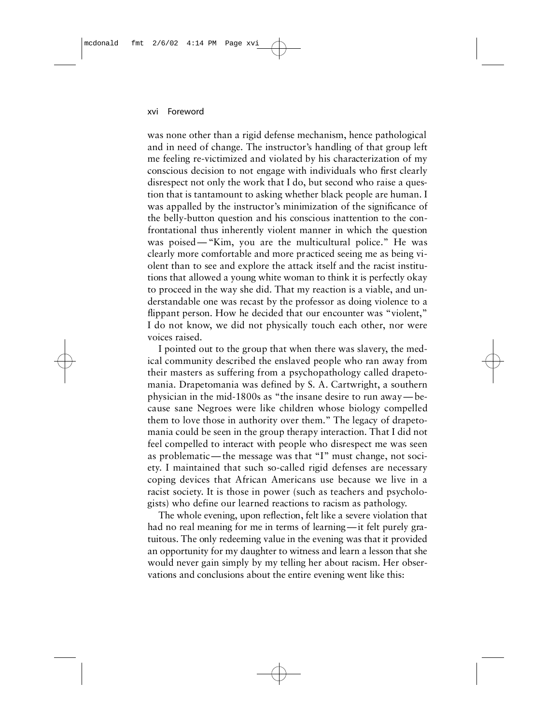### xvi Foreword

was none other than a rigid defense mechanism, hence pathological and in need of change. The instructor's handling of that group left me feeling re-victimized and violated by his characterization of my c onscious decision to not engage with individuals who first clearly disrespect not only the work that I do, but second who raise a question that is tantamount to asking whether black people are human. I was appalled by the instructor's minimization of the significance of the belly-button question and his conscious inattention to the confrontational thus inherently violent manner in which the question was poised— "Kim, you are the multicultural police." He was clearly more comfortable and more practiced seeing me as being violent than to see and explore the attack itself and the racist institutions that allowed a young white woman to think it is perfectly okay to proceed in the way she did. That my reaction is a viable, and understandable one was recast by the professor as doing violence to a flippant person. How he decided that our encounter was "violent," I do not know, we did not physically touch each other, nor were voices raised.

I pointed out to the group that when there was slavery, the medical community described the enslaved people who ran away from their masters as suffering from a psychopathology called drapetomania. Drapetomania was defined by S. A. Cartwright, a southern physician in the mid-1800s as "the insane desire to run away—because sane Negroes were like children whose biology compelled them to love those in authority over them." The legacy of drapetomania could be seen in the group therapy interaction. That I did not feel compelled to interact with people who disrespect me was seen as problematic—the message was that "I" must change, not society. I maintained that such so-called rigid defenses are necessary coping devices that African Americans use because we live in a racist society. It is those in power (such as teachers and psychologists) who define our learned reactions to racism as pathology.

The whole evening, upon reflection, felt like a severe violation that had no real meaning for me in terms of learning—it felt purely gratuitous. The only redeeming value in the evening was that it provided an opportunity for my daughter to witness and learn a lesson that she would never gain simply by my telling her about racism. Her observations and conclusions about the entire evening went like this: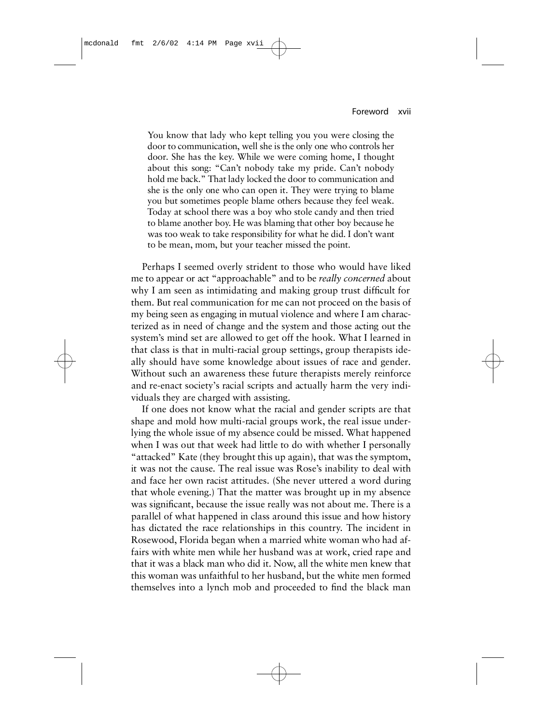### Foreword xvii

You know that lady who kept telling you you were closing the door to communication, well she is the only one who controls her door. She has the key. While we were coming home, I thought about this song: "Can't nobody take my pride. Can't nobody hold me back." That lady locked the door to communication and she is the only one who can open it. They were trying to blame you but sometimes people blame others because they feel weak. Today at school there was a boy who stole candy and then tried to blame another boy. He was blaming that other boy because he was too weak to take responsibility for what he did. I don't want to be mean, mom, but your teacher missed the point.

Perhaps I seemed overly strident to those who would have liked me to appear or act "approachable" and to be *really concerned* about why I am seen as intimidating and making group trust difficult for them. But real communication for me can not proceed on the basis of my being seen as engaging in mutual violence and where I am characterized as in need of change and the system and those acting out the system's mind set are allowed to get off the hook. What I learned in that class is that in multi-racial group settings, group therapists ideally should have some knowledge about issues of race and gender. Without such an awareness these future therapists merely reinforce and re-enact society's racial scripts and actually harm the very individuals they are charged with assisting.

If one does not know what the racial and gender scripts are that shape and mold how multi-racial groups work, the real issue underlying the whole issue of my absence could be missed. What happened when I was out that week had little to do with whether I personally " attacked" Kate (they brought this up again), that was the symptom, it was not the cause. The real issue was Rose's inability to deal with and face her own racist attitudes. (She never uttered a word during that whole evening.) That the matter was brought up in my absence was significant, because the issue really was not about me. There is a parallel of what happened in class around this issue and how history has dictated the race relationships in this country. The incident in Rosewood, Florida began when a married white woman who had affairs with white men while her husband was at work, cried rape and that it was a black man who did it. Now, all the white men knew that this woman was unfaithful to her husband, but the white men formed themselves into a lynch mob and proceeded to find the black man

mcdonald fmt 2/6/02 4:14 PM Page xvii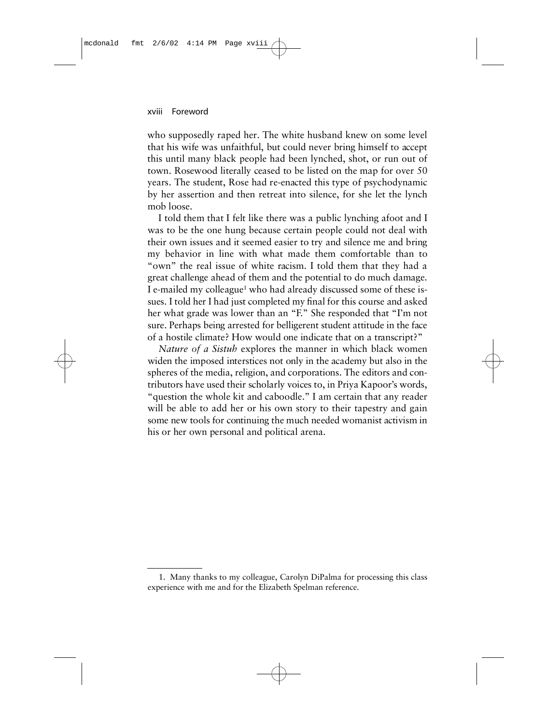### xviii Foreword

who supposedly raped her. The white husband knew on some level that his wife was unfaithful, but could never bring himself to accept this until many black people had been lynched, shot, or run out of town. Rosewood literally ceased to be listed on the map for over 50 years. The student, Rose had re-enacted this type of psychodynamic by her assertion and then retreat into silence, for she let the lynch mob loose.

I told them that I felt like there was a public lynching afoot and I was to be the one hung because certain people could not deal with their own issues and it seemed easier to try and silence me and bring my behavior in line with what made them comfortable than to "own" the real issue of white racism. I told them that they had a great challenge ahead of them and the potential to do much damage. I e-mailed my colleague<sup>1</sup> who had already discussed some of these issues. I told her I had just completed my final for this course and asked her what grade was lower than an "F." She responded that "I'm not sure. Perhaps being arrested for belligerent student attitude in the face of a hostile climate? How would one indicate that on a transcript?"

*Nature of a Sistuh* explores the manner in which black women widen the imposed interstices not only in the academy but also in the spheres of the media, religion, and corporations. The editors and contributors have used their scholarly voices to, in Priya Kapoor's words, " question the whole kit and caboodle." I am certain that any reader will be able to add her or his own story to their tapestry and gain some new tools for continuing the much needed womanist activism in his or her own personal and political arena.

<sup>1.</sup> Many thanks to my colleague, Carolyn DiPalma for processing this class experience with me and for the Elizabeth Spelman reference.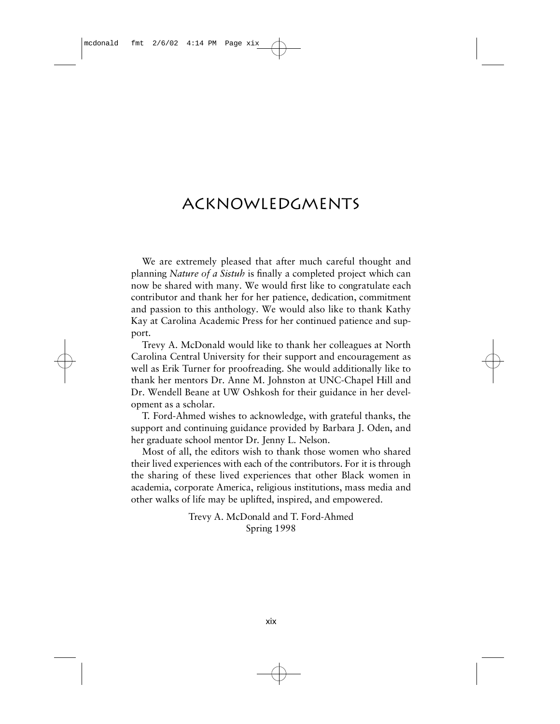# Acknowledgments

We are extremely pleased that after much careful thought and planning *Nature of a Sistuh* is finally a completed project which can now be shared with many. We would first like to congratulate each c ontributor and thank her for her patience, dedication, commitment and passion to this anthology. We would also like to thank Kathy Kay at Carolina Academic Press for her continued patience and support.

Trevy A. McDonald would like to thank her colleagues at North Carolina Central University for their support and encouragement as well as Erik Turner for proofreading. She would additionally like to thank her mentors Dr. Anne M. Johnston at UNC-Chapel Hill and Dr. Wendell Beane at UW Oshkosh for their guidance in her development as a scholar.

T. Ford-Ahmed wishes to acknowledge, with grateful thanks, the support and continuing guidance provided by Barbara J. Oden, and her graduate school mentor Dr. Jenny L. Nelson.

Most of all, the editors wish to thank those women who shared their lived experiences with each of the contributors. For it is through the sharing of these lived experiences that other Black women in academia, corporate America, religious institutions, mass media and other walks of life may be uplifted, inspired, and empowered.

> Trevy A. McDonald and T. Ford-Ahmed Spring 1998